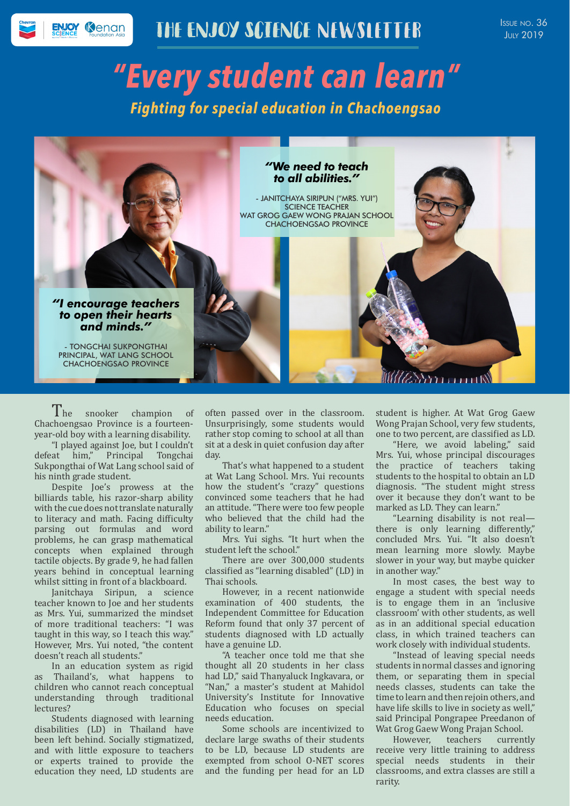## THE ENJOY SCIENCE NEWSLETTER

Issue no. 36 **JULY 2019** 

# *"Every student can learn" Fighting for special education in Chachoengsao*



The snooker champion of Chachoengsao Province is a fourteenyear-old boy with a learning disability.

"I played against Joe, but I couldn't<br>defeat him," Principal Tongchai Principal Tongchai Sukpongthai of Wat Lang school said of his ninth grade student.

Despite Joe's prowess at the billiards table, his razor-sharp ability with the cue does not translate naturally to literacy and math. Facing difficulty parsing out formulas and word problems, he can grasp mathematical concepts when explained through tactile objects. By grade 9, he had fallen years behind in conceptual learning whilst sitting in front of a blackboard.

Janitchaya Siripun, a science teacher known to Joe and her students as Mrs. Yui, summarized the mindset of more traditional teachers: "I was taught in this way, so I teach this way." However, Mrs. Yui noted, "the content doesn't reach all students."

In an education system as rigid as Thailand's, what happens to children who cannot reach conceptual understanding through traditional lectures?

Students diagnosed with learning disabilities (LD) in Thailand have been left behind. Socially stigmatized, and with little exposure to teachers or experts trained to provide the education they need, LD students are

often passed over in the classroom. Unsurprisingly, some students would rather stop coming to school at all than sit at a desk in quiet confusion day after day.

That's what happened to a student at Wat Lang School. Mrs. Yui recounts how the student's "crazy" questions convinced some teachers that he had an attitude. "There were too few people who believed that the child had the ability to learn."

Mrs. Yui sighs. "It hurt when the student left the school."

There are over 300,000 students classified as "learning disabled" (LD) in Thai schools.

However, in a recent nationwide examination of 400 students, the Independent Committee for Education Reform found that only 37 percent of students diagnosed with LD actually have a genuine LD.

"A teacher once told me that she thought all 20 students in her class had LD," said Thanyaluck Ingkavara, or "Nan," a master's student at Mahidol University's Institute for Innovative Education who focuses on special needs education.

Some schools are incentivized to declare large swaths of their students to be LD, because LD students are exempted from school O-NET scores and the funding per head for an LD

student is higher. At Wat Grog Gaew Wong Prajan School, very few students, one to two percent, are classified as LD.

"Here, we avoid labeling," said Mrs. Yui, whose principal discourages the practice of teachers taking students to the hospital to obtain an LD diagnosis. "The student might stress over it because they don't want to be marked as LD. They can learn."

"Learning disability is not real there is only learning differently," concluded Mrs. Yui. "It also doesn't mean learning more slowly. Maybe slower in your way, but maybe quicker in another way."

In most cases, the best way to engage a student with special needs is to engage them in an 'inclusive classroom' with other students, as well as in an additional special education class, in which trained teachers can work closely with individual students.

"Instead of leaving special needs students in normal classes and ignoring them, or separating them in special needs classes, students can take the time to learn and then rejoin others, and have life skills to live in society as well," said Principal Pongrapee Preedanon of Wat Grog Gaew Wong Prajan School.<br>However. teachers currently

However, teachers receive very little training to address special needs students in their classrooms, and extra classes are still a rarity.